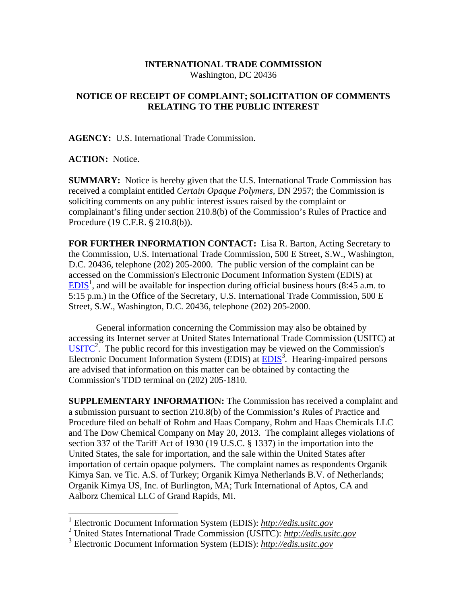## **INTERNATIONAL TRADE COMMISSION**  Washington, DC 20436

## **NOTICE OF RECEIPT OF COMPLAINT; SOLICITATION OF COMMENTS RELATING TO THE PUBLIC INTEREST**

**AGENCY:** U.S. International Trade Commission.

## **ACTION:** Notice.

 $\overline{a}$ 

**SUMMARY:** Notice is hereby given that the U.S. International Trade Commission has received a complaint entitled *Certain Opaque Polymers,* DN 2957; the Commission is soliciting comments on any public interest issues raised by the complaint or complainant's filing under section 210.8(b) of the Commission's Rules of Practice and Procedure (19 C.F.R. § 210.8(b)).

**FOR FURTHER INFORMATION CONTACT:** Lisa R. Barton, Acting Secretary to the Commission, U.S. International Trade Commission, 500 E Street, S.W., Washington, D.C. 20436, telephone (202) 205-2000. The public version of the complaint can be accessed on the Commission's Electronic Document Information System (EDIS) at  $EDIS<sup>1</sup>$ , and will be available for inspection during official business hours (8:45 a.m. to 5:15 p.m.) in the Office of the Secretary, U.S. International Trade Commission, 500 E Street, S.W., Washington, D.C. 20436, telephone (202) 205-2000.

General information concerning the Commission may also be obtained by accessing its Internet server at United States International Trade Commission (USITC) at  $\overline{U S I T C}^2$ . The public record for this investigation may be viewed on the Commission's Electronic Document Information System (EDIS) at **EDIS<sup>3</sup>**. Hearing-impaired persons are advised that information on this matter can be obtained by contacting the Commission's TDD terminal on (202) 205-1810.

**SUPPLEMENTARY INFORMATION:** The Commission has received a complaint and a submission pursuant to section 210.8(b) of the Commission's Rules of Practice and Procedure filed on behalf of Rohm and Haas Company, Rohm and Haas Chemicals LLC and The Dow Chemical Company on May 20, 2013. The complaint alleges violations of section 337 of the Tariff Act of 1930 (19 U.S.C. § 1337) in the importation into the United States, the sale for importation, and the sale within the United States after importation of certain opaque polymers. The complaint names as respondents Organik Kimya San. ve Tic. A.S. of Turkey; Organik Kimya Netherlands B.V. of Netherlands; Organik Kimya US, Inc. of Burlington, MA; Turk International of Aptos, CA and Aalborz Chemical LLC of Grand Rapids, MI.

<sup>1</sup> Electronic Document Information System (EDIS): *http://edis.usitc.gov*

<sup>2</sup> United States International Trade Commission (USITC): *http://edis.usitc.gov*

<sup>3</sup> Electronic Document Information System (EDIS): *http://edis.usitc.gov*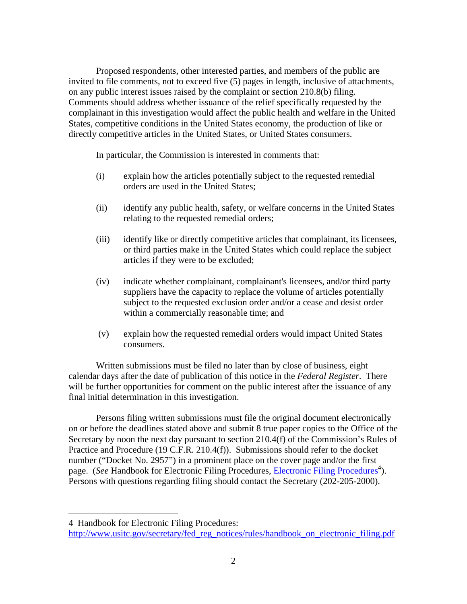Proposed respondents, other interested parties, and members of the public are invited to file comments, not to exceed five (5) pages in length, inclusive of attachments, on any public interest issues raised by the complaint or section 210.8(b) filing. Comments should address whether issuance of the relief specifically requested by the complainant in this investigation would affect the public health and welfare in the United States, competitive conditions in the United States economy, the production of like or directly competitive articles in the United States, or United States consumers.

In particular, the Commission is interested in comments that:

- (i) explain how the articles potentially subject to the requested remedial orders are used in the United States;
- (ii) identify any public health, safety, or welfare concerns in the United States relating to the requested remedial orders;
- (iii) identify like or directly competitive articles that complainant, its licensees, or third parties make in the United States which could replace the subject articles if they were to be excluded;
- (iv) indicate whether complainant, complainant's licensees, and/or third party suppliers have the capacity to replace the volume of articles potentially subject to the requested exclusion order and/or a cease and desist order within a commercially reasonable time; and
- (v) explain how the requested remedial orders would impact United States consumers.

Written submissions must be filed no later than by close of business, eight calendar days after the date of publication of this notice in the *Federal Register*. There will be further opportunities for comment on the public interest after the issuance of any final initial determination in this investigation.

Persons filing written submissions must file the original document electronically on or before the deadlines stated above and submit 8 true paper copies to the Office of the Secretary by noon the next day pursuant to section 210.4(f) of the Commission's Rules of Practice and Procedure (19 C.F.R. 210.4(f)). Submissions should refer to the docket number ("Docket No. 2957") in a prominent place on the cover page and/or the first page. (*See* Handbook for Electronic Filing Procedures, *Electronic Filing Procedures*<sup>4</sup>). Persons with questions regarding filing should contact the Secretary (202-205-2000).

 $\overline{a}$ 

<sup>4</sup> Handbook for Electronic Filing Procedures:

http://www.usitc.gov/secretary/fed\_reg\_notices/rules/handbook\_on\_electronic\_filing.pdf